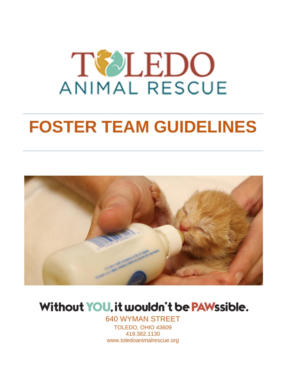

# **FOSTER TEAM GUIDELINES**



## Without YOU, it wouldn't be PAWssible.

640 WYMAN STREET TOLEDO, OHIO 43609

419.382.1130 www.toledoanimalrescue.org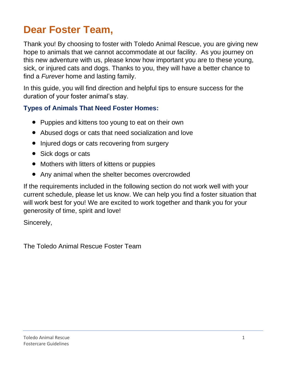## **Dear Foster Team,**

Thank you! By choosing to foster with Toledo Animal Rescue, you are giving new hope to animals that we cannot accommodate at our facility. As you journey on this new adventure with us, please know how important you are to these young, sick, or injured cats and dogs. Thanks to you, they will have a better chance to find a *Furever* home and lasting family.

In this guide, you will find direction and helpful tips to ensure success for the duration of your foster animal's stay.

### **Types of Animals That Need Foster Homes:**

- Puppies and kittens too young to eat on their own
- Abused dogs or cats that need socialization and love
- Injured dogs or cats recovering from surgery
- Sick dogs or cats
- Mothers with litters of kittens or puppies
- Any animal when the shelter becomes overcrowded

If the requirements included in the following section do not work well with your current schedule, please let us know. We can help you find a foster situation that will work best for you! We are excited to work together and thank you for your generosity of time, spirit and love!

Sincerely,

The Toledo Animal Rescue Foster Team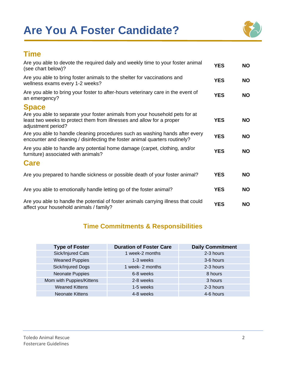## **Are You A Foster Candidate?**



## **Time**

| Are you able to devote the required daily and weekly time to your foster animal<br>(see chart below)?                                                                       | <b>YES</b> | <b>NO</b> |
|-----------------------------------------------------------------------------------------------------------------------------------------------------------------------------|------------|-----------|
| Are you able to bring foster animals to the shelter for vaccinations and<br>wellness exams every 1-2 weeks?                                                                 | <b>YES</b> | <b>NO</b> |
| Are you able to bring your foster to after-hours veterinary care in the event of<br>an emergency?                                                                           | <b>YES</b> | <b>NO</b> |
| <b>Space</b>                                                                                                                                                                |            |           |
| Are you able to separate your foster animals from your household pets for at<br>least two weeks to protect them from illnesses and allow for a proper<br>adjustment period? | <b>YES</b> | <b>NO</b> |
| Are you able to handle cleaning procedures such as washing hands after every<br>encounter and cleaning / disinfecting the foster animal quarters routinely?                 | <b>YES</b> | <b>NO</b> |
| Are you able to handle any potential home damage (carpet, clothing, and/or<br>furniture) associated with animals?                                                           | <b>YES</b> | <b>NO</b> |
| <b>Care</b>                                                                                                                                                                 |            |           |
| Are you prepared to handle sickness or possible death of your foster animal?                                                                                                | <b>YES</b> | <b>NO</b> |
| Are you able to emotionally handle letting go of the foster animal?                                                                                                         | <b>YES</b> | <b>NO</b> |
| Are you able to handle the potential of foster animals carrying illness that could<br>affect your household animals / family?                                               | <b>YES</b> | <b>NO</b> |

### **Time Commitments & Responsibilities**

| <b>Type of Foster</b>    | <b>Duration of Foster Care</b> | <b>Daily Commitment</b> |
|--------------------------|--------------------------------|-------------------------|
| Sick/Injured Cats        | 1 week-2 months                | 2-3 hours               |
| <b>Weaned Puppies</b>    | 1-3 weeks                      | 3-6 hours               |
| Sick/Injured Dogs        | 1 week- 2 months               | 2-3 hours               |
| Neonate Puppies          | 6-8 weeks                      | 8 hours                 |
| Mom with Puppies/Kittens | 2-8 weeks                      | 3 hours                 |
| <b>Weaned Kittens</b>    | 1-5 weeks                      | 2-3 hours               |
| <b>Neonate Kittens</b>   | 4-8 weeks                      | 4-6 hours               |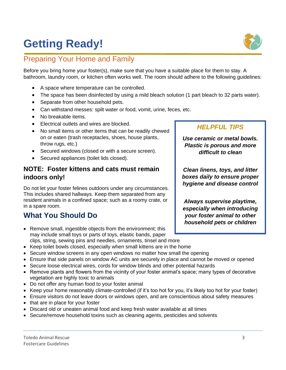## **Getting Ready!**

## Preparing Your Home and Family

Before you bring home your foster(s), make sure that you have a suitable place for them to stay. A bathroom, laundry room, or kitchen often works well. The room should adhere to the following guidelines:

- A space where temperature can be controlled.
- The space has been disinfected by using a mild bleach solution (1 part bleach to 32 parts water).
- Separate from other household pets.
- Can withstand messes: spilt water or food, vomit, urine, feces, etc.
- No breakable items.
- Electrical outlets and wires are blocked.
- No small items or other items that can be readily chewed on or eaten (trash receptacles, shoes, house plants, throw rugs, etc.)
- Secured windows (closed or with a secure screen).
- Secured appliances (toilet lids closed).

#### **NOTE: Foster kittens and cats must remain indoors only!**

Do not let your foster felines outdoors under any circumstances. This includes shared hallways. Keep them separated from any resident animals in a confined space; such as a roomy crate, or in a spare room.

## **What You Should Do**

• Remove small, ingestible objects from the environment; this may include small toys or parts of toys, elastic bands, paper clips, string, sewing pins and needles, ornaments, tinsel and more

#### • Keep toilet bowls closed, especially when small kittens are in the home

- Secure window screens in any open windows no matter how small the opening
- Ensure that side panels on window AC units are securely in place and cannot be moved or opened
- Secure loose electrical wires, cords for window blinds and other potential hazards
- Remove plants and flowers from the vicinity of your foster animal's space; many types of decorative vegetation are highly toxic to animals
- Do not offer any human food to your foster animal
- Keep your home reasonably climate-controlled (if it's too hot for you, it's likely too hot for your foster)
- Ensure visitors do not leave doors or windows open, and are conscientious about safety measures
- that are in place for your foster
- Discard old or uneaten animal food and keep fresh water available at all times
- Secure/remove household toxins such as cleaning agents, pesticides and solvents

#### Toledo Animal Rescue 3 Fostercare Guidelines



#### *HELPFUL TIPS*

*Use ceramic or metal bowls. Plastic is porous and more difficult to clean*

*Clean linens, toys, and litter boxes daily to ensure proper hygiene and disease control*

*Always supervise playtime, especially when introducing your foster animal to other household pets or children*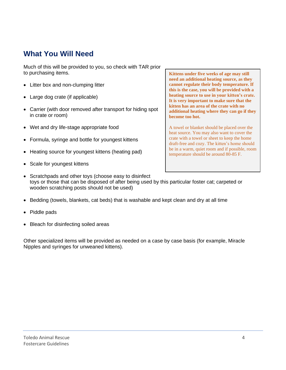## **What You Will Need**

Much of this will be provided to you, so check with TAR prior to purchasing items.

- Litter box and non-clumping litter
- Large dog crate (if applicable)
- Carrier (with door removed after transport for hiding spot in crate or room)
- Wet and dry life-stage appropriate food
- Formula, syringe and bottle for youngest kittens
- Heating source for youngest kittens (heating pad)
- Scale for youngest kittens

**Kittens under five weeks of age may still need an additional heating source, as they cannot regulate their body temperature. If this is the case, you will be provided with a heating source to use in your kitten's crate. It is very important to make sure that the kitten has an area of the crate with no additional heating where they can go if they become too hot.**

A towel or blanket should be placed over the heat source. You may also want to cover the crate with a towel or sheet to keep the home draft-free and cozy. The kitten's home should be in a warm, quiet room and if possible, room temperature should be around 80-85 F.

- Scratchpads and other toys (choose easy to disinfect toys or those that can be disposed of after being used by this particular foster cat; carpeted or wooden scratching posts should not be used)
- Bedding (towels, blankets, cat beds) that is washable and kept clean and dry at all time
- Piddle pads
- Bleach for disinfecting soiled areas

Other specialized items will be provided as needed on a case by case basis (for example, Miracle Nipples and syringes for unweaned kittens).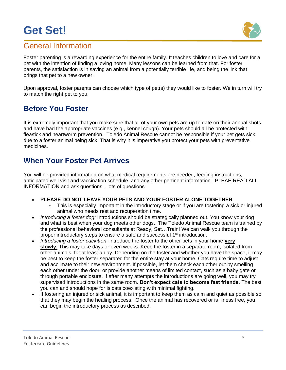## **Get Set!**



## General Information

Foster parenting is a rewarding experience for the entire family. It teaches children to love and care for a pet with the intention of finding a loving home. Many lessons can be learned from that. For foster parents, the satisfaction is in saving an animal from a potentially terrible life, and being the link that brings that pet to a new owner.

Upon approval, foster parents can choose which type of pet(s) they would like to foster. We in turn will try to match the right pet to you.

## **Before You Foster**

It is extremely important that you make sure that all of your own pets are up to date on their annual shots and have had the appropriate vaccines (e.g., kennel cough). Your pets should all be protected with flea/tick and heartworm prevention. Toledo Animal Rescue cannot be responsible if your pet gets sick due to a foster animal being sick. That is why it is imperative you protect your pets with preventative medicines.

## **When Your Foster Pet Arrives**

You will be provided information on what medical requirements are needed, feeding instructions, anticipated well visit and vaccination schedule, and any other pertinent information. PLEAE READ ALL INFORMATION and ask questions…lots of questions.

#### • **PLEASE DO NOT LEAVE YOUR PETS AND YOUR FOSTER ALONE TOGETHER**

- This is especially important in the introductory stage or if you are fostering a sick or injured animal who needs rest and recuperation time.
- *Introducing a foster dog:* Introductions should be strategically planned out. You know your dog and what is best when your dog meets other dogs. The Toledo Animal Rescue team is trained by the professional behavioral consultants at Ready, Set…Train! We can walk you through the proper introductory steps to ensure a safe and successful 1<sup>st</sup> introduction.
- *Introducing a foster cat/kitten*: Introduce the foster to the other pets in your home **very slowly.** This may take days or even weeks. Keep the foster in a separate room, isolated from other animals, for at least a day. Depending on the foster and whether you have the space, it may be best to keep the foster separated for the entire stay at your home. Cats require time to adjust and acclimate to their new environment. If possible, let them check each other out by smelling each other under the door, or provide another means of limited contact, such as a baby gate or through portable enclosure. If after many attempts the introductions are going well, you may try supervised introductions in the same room. **Don't expect cats to become fast friends.** The best you can and should hope for is cats coexisting with minimal fighting.
- If fostering an injured or sick animal, it is important to keep them as calm and quiet as possible so that they may begin the healing process. Once the animal has recovered or is illness free, you can begin the introductory process as described.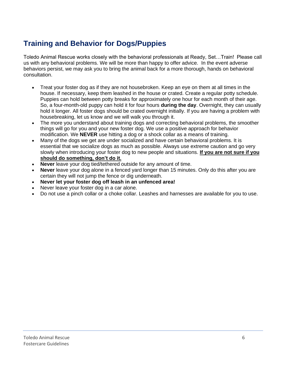## **Training and Behavior for Dogs/Puppies**

Toledo Animal Rescue works closely with the behavioral professionals at Ready, Set…Train! Please call us with any behavioral problems. We will be more than happy to offer advice. In the event adverse behaviors persist, we may ask you to bring the animal back for a more thorough, hands on behavioral consultation.

- Treat your foster dog as if they are not housebroken. Keep an eye on them at all times in the house. If necessary, keep them leashed in the house or crated. Create a regular potty schedule. Puppies can hold between potty breaks for approximately one hour for each month of their age. So, a four-month-old puppy can hold it for four hours **during the day**. Overnight, they can usually hold it longer. All foster dogs should be crated overnight initially. If you are having a problem with housebreaking, let us know and we will walk you through it.
- The more you understand about training dogs and correcting behavioral problems, the smoother things will go for you and your new foster dog. We use a positive approach for behavior modification. We **NEVER** use hitting a dog or a shock collar as a means of training.
- Many of the dogs we get are under socialized and have certain behavioral problems. It is essential that we socialize dogs as much as possible. Always use extreme caution and go very slowly when introducing your foster dog to new people and situations. **If you are not sure if you should do something, don't do it.**
- **Never** leave your dog tied/tethered outside for any amount of time.
- **Never** leave your dog alone in a fenced yard longer than 15 minutes. Only do this after you are certain they will not jump the fence or dig underneath.
- **Never let your foster dog off leash in an unfenced area!**
- Never leave your foster dog in a car alone.
- Do not use a pinch collar or a choke collar. Leashes and harnesses are available for you to use.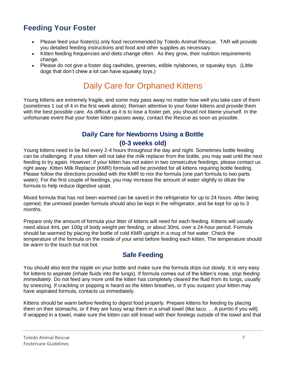## **Feeding Your Foster**

- Please feed your foster(s) only food recommended by Toledo Animal Rescue. TAR will provide you detailed feeding instructions and food and other supplies as necessary.
- Kitten feeding frequencies and diets change often. As they grow, their nutrition requirements change.
- Please do not give a foster dog rawhides, greenies, edible nylabones, or squeaky toys. (Little dogs that don't chew a lot can have squeaky toys.)

## Daily Care for Orphaned Kittens

Young kittens are extremely fragile, and some may pass away no matter how well you take care of them (sometimes 1 out of 4 in the first week alone). Remain attentive to your foster kittens and provide them with the best possible care. As difficult as it is to lose a foster pet, you should not blame yourself. In the unfortunate event that your foster kitten passes away, contact the Rescue as soon as possible.

#### **Daily Care for Newborns Using a Bottle (0-3 weeks old)**

Young kittens need to be fed every 2-4 hours throughout the day and night. Sometimes bottle feeding can be challenging. If your kitten will not take the milk replacer from the bottle, you may wait until the next feeding to try again. However; if your kitten has not eaten in two consecutive feedings, please contact us right away .Kitten Milk Replacer (KMR) formula will be provided for all kittens requiring bottle feeding. Please follow the directions provided with the KMR to mix the formula (one part formula to two parts water). For the first couple of feedings, you may increase the amount of water slightly to dilute the formula to help reduce digestive upset.

Mixed formula that has not been warmed can be saved in the refrigerator for up to 24 hours. After being opened, the unmixed powder formula should also be kept in the refrigerator, and be kept for up to 3 months.

Prepare only the amount of formula your litter of kittens will need for each feeding. Kittens will usually need about 4mL per 100g of body weight per feeding, or about 30mL over a 24-hour period. Formula should be warmed by placing the bottle of cold KMR upright in a mug of hot water. Check the temperature of the formula on the inside of your wrist before feeding each kitten. The temperature should be warm to the touch but not hot.

### **Safe Feeding**

You should also test the nipple on your bottle and make sure the formula drips out slowly. It is very easy for kittens to aspirate (inhale fluids into the lungs). If formula comes out of the kitten's nose, *stop feeding immediately*. Do not feed any more until the kitten has completely cleared the fluid from its lungs, usually by sneezing. If crackling or popping is heard as the kitten breathes, or if you suspect your kitten may have aspirated formula, contacts us immediately.

Kittens should be warm before feeding to digest food properly. Prepare kittens for feeding by placing them on their stomachs, or if they are fussy wrap them in a small towel (like taco. . . A purrito if you will). If wrapped in a towel, make sure the kitten can still knead with their forelegs outside of the towel and that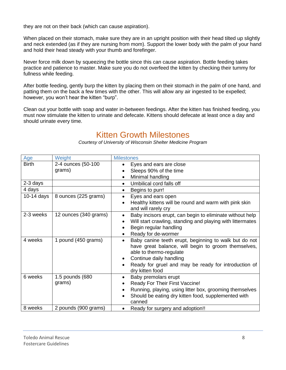they are not on their back (which can cause aspiration).

When placed on their stomach, make sure they are in an upright position with their head tilted up slightly and neck extended (as if they are nursing from mom). Support the lower body with the palm of your hand and hold their head steady with your thumb and forefinger.

Never force milk down by squeezing the bottle since this can cause aspiration. Bottle feeding takes practice and patience to master. Make sure you do not overfeed the kitten by checking their tummy for fullness while feeding.

After bottle feeding, gently burp the kitten by placing them on their stomach in the palm of one hand, and patting them on the back a few times with the other. This will allow any air ingested to be expelled; however, you won't hear the kitten "burp".

Clean out your bottle with soap and water in-between feedings. After the kitten has finished feeding, you must now stimulate the kitten to urinate and defecate. Kittens should defecate at least once a day and should urinate every time.

## Kitten Growth Milestones

*Courtesy of University of Wisconsin Shelter Medicine Program*

| Age          | Weight                       | <b>Milestones</b>                                                                                                                                                                                                                                                       |
|--------------|------------------------------|-------------------------------------------------------------------------------------------------------------------------------------------------------------------------------------------------------------------------------------------------------------------------|
| <b>Birth</b> | 2-4 ounces (50-100<br>grams) | Eyes and ears are close<br>$\bullet$<br>Sleeps 90% of the time<br>Minimal handling<br>$\bullet$                                                                                                                                                                         |
| 2-3 days     |                              | Umbilical cord falls off<br>$\bullet$                                                                                                                                                                                                                                   |
| 4 days       |                              | Begins to purr!<br>$\bullet$                                                                                                                                                                                                                                            |
| 10-14 days   | 8 ounces (225 grams)         | Eyes and ears open<br>$\bullet$<br>Healthy kittens will be round and warm with pink skin<br>and will rarely cry                                                                                                                                                         |
| 2-3 weeks    | 12 ounces (340 grams)        | Baby incisors erupt, can begin to eliminate without help<br>$\bullet$<br>Will start crawling, standing and playing with littermates<br>$\bullet$<br>Begin regular handling<br>Ready for de-wormer                                                                       |
| 4 weeks      | 1 pound (450 grams)          | Baby canine teeth erupt, beginning to walk but do not<br>$\bullet$<br>have great balance, will begin to groom themselves,<br>able to thermo-regulate<br>Continue daily handling<br>$\bullet$<br>Ready for gruel and may be ready for introduction of<br>dry kitten food |
| 6 weeks      | 1.5 pounds (680<br>grams)    | Baby premolars erupt<br>$\bullet$<br>Ready For Their First Vaccine!<br>$\bullet$<br>Running, playing, using litter box, grooming themselves<br>$\bullet$<br>Should be eating dry kitten food, supplemented with<br>$\bullet$<br>canned                                  |
| 8 weeks      | 2 pounds (900 grams)         | Ready for surgery and adoption!!<br>$\bullet$                                                                                                                                                                                                                           |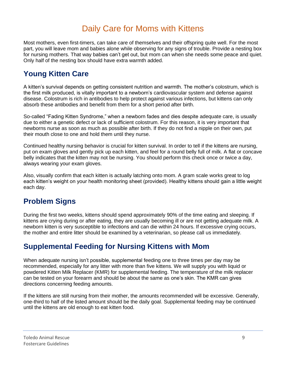## Daily Care for Moms with Kittens

Most mothers, even first-timers, can take care of themselves and their offspring quite well. For the most part, you will leave mom and babies alone while observing for any signs of trouble. Provide a nesting box for nursing mothers. That way babies can't get out, but mom can when she needs some peace and quiet. Only half of the nesting box should have extra warmth added.

## **Young Kitten Care**

A kitten's survival depends on getting consistent nutrition and warmth. The mother's colostrum, which is the first milk produced, is vitally important to a newborn's cardiovascular system and defense against disease. Colostrum is rich in antibodies to help protect against various infections, but kittens can only absorb these antibodies and benefit from them for a short period after birth.

So-called "Fading Kitten Syndrome," when a newborn fades and dies despite adequate care, is usually due to either a genetic defect or lack of sufficient colostrum. For this reason, it is very important that newborns nurse as soon as much as possible after birth. If they do not find a nipple on their own, put their mouth close to one and hold them until they nurse.

Continued healthy nursing behavior is crucial for kitten survival. In order to tell if the kittens are nursing, put on exam gloves and gently pick up each kitten, and feel for a round belly full of milk. A flat or concave belly indicates that the kitten may not be nursing. You should perform this check once or twice a day, always wearing your exam gloves.

Also, visually confirm that each kitten is actually latching onto mom. A gram scale works great to log each kitten's weight on your health monitoring sheet (provided). Healthy kittens should gain a little weight each day.

## **Problem Signs**

During the first two weeks, kittens should spend approximately 90% of the time eating and sleeping. If kittens are crying during or after eating, they are usually becoming ill or are not getting adequate milk. A newborn kitten is very susceptible to infections and can die within 24 hours. If excessive crying occurs, the mother and entire litter should be examined by a veterinarian, so please call us immediately.

## **Supplemental Feeding for Nursing Kittens with Mom**

When adequate nursing isn't possible, supplemental feeding one to three times per day may be recommended, especially for any litter with more than five kittens. We will supply you with liquid or powdered Kitten Milk Replacer (KMR) for supplemental feeding. The temperature of the milk replacer can be tested on your forearm and should be about the same as one's skin. The KMR can gives directions concerning feeding amounts.

If the kittens are still nursing from their mother, the amounts recommended will be excessive. Generally, one-third to half of the listed amount should be the daily goal. Supplemental feeding may be continued until the kittens are old enough to eat kitten food.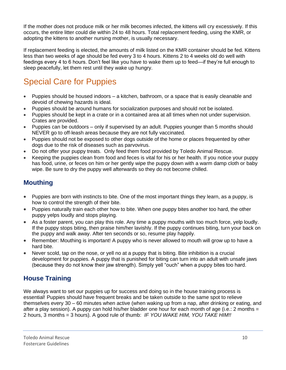If the mother does not produce milk or her milk becomes infected, the kittens will cry excessively. If this occurs, the entire litter could die within 24 to 48 hours. Total replacement feeding, using the KMR, or adopting the kittens to another nursing mother, is usually necessary.

If replacement feeding is elected, the amounts of milk listed on the KMR container should be fed. Kittens less than two weeks of age should be fed every 3 to 4 hours. Kittens 2 to 4 weeks old do well with feedings every 4 to 6 hours. Don't feel like you have to wake them up to feed—if they're full enough to sleep peacefully, let them rest until they wake up hungry.

## Special Care for Puppies

- Puppies should be housed indoors a kitchen, bathroom, or a space that is easily cleanable and devoid of chewing hazards is ideal.
- Puppies should be around humans for socialization purposes and should not be isolated.
- Puppies should be kept in a crate or in a contained area at all times when not under supervision. Crates are provided.
- Puppies can be outdoors only if supervised by an adult. Puppies younger than 5 months should NEVER go to off-leash areas because they are not fully vaccinated.
- Puppies should not be exposed to other dogs outside of the home or places frequented by other dogs due to the risk of diseases such as parvovirus.
- Do not offer your puppy treats. Only feed them food provided by Toledo Animal Rescue.
- Keeping the puppies clean from food and feces is vital for his or her health. If you notice your puppy has food, urine, or feces on him or her gently wipe the puppy down with a warm damp cloth or baby wipe. Be sure to dry the puppy well afterwards so they do not become chilled.

### **Mouthing**

- Puppies are born with instincts to bite. One of the most important things they learn, as a puppy, is how to control the strength of their bite.
- Puppies naturally train each other how to bite. When one puppy bites another too hard, the other puppy yelps loudly and stops playing.
- As a foster parent, you can play this role. Any time a puppy mouths with too much force, yelp loudly. If the puppy stops biting, then praise him/her lavishly. If the puppy continues biting, turn your back on the puppy and walk away. After ten seconds or so, resume play happily.
- Remember: Mouthing is important! A puppy who is never allowed to mouth will grow up to have a hard bite.
- Never scold, tap on the nose, or yell no at a puppy that is biting. Bite inhibition is a crucial development for puppies. A puppy that is punished for biting can turn into an adult with unsafe jaws (because they do not know their jaw strength). Simply yell "ouch" when a puppy bites too hard.

### **House Training**

We always want to set our puppies up for success and doing so in the house training process is essential! Puppies should have frequent breaks and be taken outside to the same spot to relieve themselves every 30 – 60 minutes when active (when waking up from a nap, after drinking or eating, and after a play session). A puppy can hold his/her bladder one hour for each month of age (i.e.: 2 months  $=$ 2 hours, 3 months = 3 hours). A good rule of thumb: *IF YOU WAKE HIM, YOU TAKE HIM!!*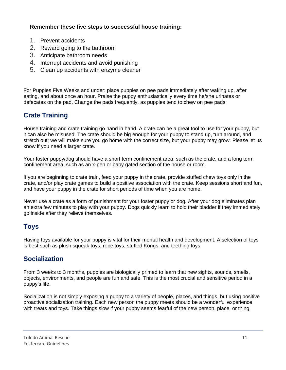#### **Remember these five steps to successful house training:**

- 1. Prevent accidents
- 2. Reward going to the bathroom
- 3. Anticipate bathroom needs
- 4. Interrupt accidents and avoid punishing
- 5. Clean up accidents with enzyme cleaner

For Puppies Five Weeks and under: place puppies on pee pads immediately after waking up, after eating, and about once an hour. Praise the puppy enthusiastically every time he/she urinates or defecates on the pad. Change the pads frequently, as puppies tend to chew on pee pads.

### **Crate Training**

House training and crate training go hand in hand. A crate can be a great tool to use for your puppy, but it can also be misused. The crate should be big enough for your puppy to stand up, turn around, and stretch out; we will make sure you go home with the correct size, but your puppy may grow. Please let us know if you need a larger crate.

Your foster puppy/dog should have a short term confinement area, such as the crate, and a long term confinement area, such as an x-pen or baby gated section of the house or room.

If you are beginning to crate train, feed your puppy in the crate, provide stuffed chew toys only in the crate, and/or play crate games to build a positive association with the crate. Keep sessions short and fun, and have your puppy in the crate for short periods of time when you are home.

Never use a crate as a form of punishment for your foster puppy or dog. After your dog eliminates plan an extra few minutes to play with your puppy. Dogs quickly learn to hold their bladder if they immediately go inside after they relieve themselves.

### **Toys**

Having toys available for your puppy is vital for their mental health and development. A selection of toys is best such as plush squeak toys, rope toys, stuffed Kongs, and teething toys.

### **Socialization**

From 3 weeks to 3 months, puppies are biologically primed to learn that new sights, sounds, smells, objects, environments, and people are fun and safe. This is the most crucial and sensitive period in a puppy's life.

Socialization is not simply exposing a puppy to a variety of people, places, and things, but using positive proactive socialization training. Each new person the puppy meets should be a wonderful experience with treats and toys. Take things slow if your puppy seems fearful of the new person, place, or thing.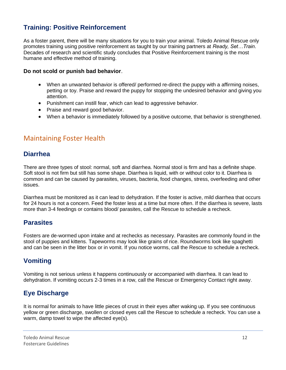### **Training: Positive Reinforcement**

As a foster parent, there will be many situations for you to train your animal. Toledo Animal Rescue only promotes training using positive reinforcement as taught by our training partners at *Ready, Set…Train*. Decades of research and scientific study concludes that Positive Reinforcement training is the most humane and effective method of training.

#### **Do not scold or punish bad behavior**.

- When an unwanted behavior is offered/ performed re-direct the puppy with a affirming noises, petting or toy. Praise and reward the puppy for stopping the undesired behavior and giving you attention.
- Punishment can instill fear, which can lead to aggressive behavior.
- Praise and reward good behavior.
- When a behavior is immediately followed by a positive outcome, that behavior is strengthened.

#### Maintaining Foster Health

#### **Diarrhea**

There are three types of stool: normal, soft and diarrhea. Normal stool is firm and has a definite shape. Soft stool is not firm but still has some shape. Diarrhea is liquid, with or without color to it. Diarrhea is common and can be caused by parasites, viruses, bacteria, food changes, stress, overfeeding and other issues.

Diarrhea must be monitored as it can lead to dehydration. If the foster is active, mild diarrhea that occurs for 24 hours is not a concern. Feed the foster less at a time but more often. If the diarrhea is severe, lasts more than 3-4 feedings or contains blood/ parasites, call the Rescue to schedule a recheck.

#### **Parasites**

Fosters are de-wormed upon intake and at rechecks as necessary. Parasites are commonly found in the stool of puppies and kittens. Tapeworms may look like grains of rice. Roundworms look like spaghetti and can be seen in the litter box or in vomit. If you notice worms, call the Rescue to schedule a recheck.

#### **Vomiting**

Vomiting is not serious unless it happens continuously or accompanied with diarrhea. It can lead to dehydration. If vomiting occurs 2-3 times in a row, call the Rescue or Emergency Contact right away.

#### **Eye Discharge**

It is normal for animals to have little pieces of crust in their eyes after waking up. If you see continuous yellow or green discharge, swollen or closed eyes call the Rescue to schedule a recheck. You can use a warm, damp towel to wipe the affected eye(s).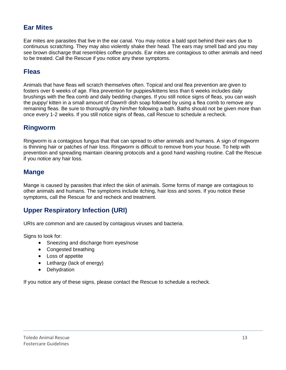#### **Ear Mites**

Ear mites are parasites that live in the ear canal. You may notice a bald spot behind their ears due to continuous scratching. They may also violently shake their head. The ears may smell bad and you may see brown discharge that resembles coffee grounds. Ear mites are contagious to other animals and need to be treated. Call the Rescue if you notice any these symptoms.

#### **Fleas**

Animals that have fleas will scratch themselves often. Topical and oral flea prevention are given to fosters over 6 weeks of age. Flea prevention for puppies/kittens less than 6 weeks includes daily brushings with the flea comb and daily bedding changes. If you still notice signs of fleas, you can wash the puppy/ kitten in a small amount of Dawn® dish soap followed by using a flea comb to remove any remaining fleas. Be sure to thoroughly dry him/her following a bath. Baths should not be given more than once every 1-2 weeks. If you still notice signs of fleas, call Rescue to schedule a recheck.

#### **Ringworm**

Ringworm is a contagious fungus that that can spread to other animals and humans. A sign of ringworm is thinning hair or patches of hair loss. Ringworm is difficult to remove from your house. To help with prevention and spreading maintain cleaning protocols and a good hand washing routine. Call the Rescue if you notice any hair loss.

#### **Mange**

Mange is caused by parasites that infect the skin of animals. Some forms of mange are contagious to other animals and humans. The symptoms include itching, hair loss and sores. If you notice these symptoms, call the Rescue for and recheck and treatment.

### **Upper Respiratory Infection (URI)**

URIs are common and are caused by contagious viruses and bacteria.

Signs to look for:

- Sneezing and discharge from eyes/nose
- Congested breathing
- Loss of appetite
- Lethargy (lack of energy)
- Dehydration

If you notice any of these signs, please contact the Rescue to schedule a recheck.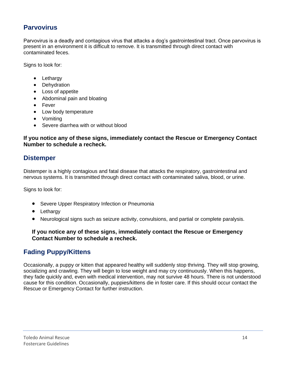#### **Parvovirus**

Parvovirus is a deadly and contagious virus that attacks a dog's gastrointestinal tract. Once parvovirus is present in an environment it is difficult to remove. It is transmitted through direct contact with contaminated feces.

Signs to look for:

- Lethargy
- Dehydration
- Loss of appetite
- Abdominal pain and bloating
- Fever
- Low body temperature
- Vomiting
- Severe diarrhea with or without blood

#### **If you notice any of these signs, immediately contact the Rescue or Emergency Contact Number to schedule a recheck.**

#### **Distemper**

Distemper is a highly contagious and fatal disease that attacks the respiratory, gastrointestinal and nervous systems. It is transmitted through direct contact with contaminated saliva, blood, or urine.

Signs to look for:

- Severe Upper Respiratory Infection or Pneumonia
- Lethargy
- Neurological signs such as seizure activity, convulsions, and partial or complete paralysis.

#### **If you notice any of these signs, immediately contact the Rescue or Emergency Contact Number to schedule a recheck.**

#### **Fading Puppy/Kittens**

Occasionally, a puppy or kitten that appeared healthy will suddenly stop thriving. They will stop growing, socializing and crawling. They will begin to lose weight and may cry continuously. When this happens, they fade quickly and, even with medical intervention, may not survive 48 hours. There is not understood cause for this condition. Occasionally, puppies/kittens die in foster care. If this should occur contact the Rescue or Emergency Contact for further instruction.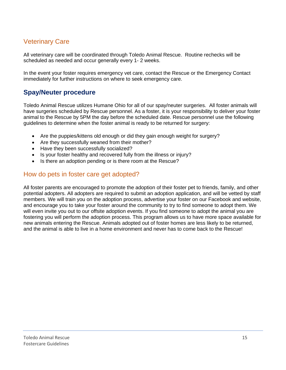#### Veterinary Care

All veterinary care will be coordinated through Toledo Animal Rescue. Routine rechecks will be scheduled as needed and occur generally every 1- 2 weeks.

In the event your foster requires emergency vet care, contact the Rescue or the Emergency Contact immediately for further instructions on where to seek emergency care.

#### **Spay/Neuter procedure**

Toledo Animal Rescue utilizes Humane Ohio for all of our spay/neuter surgeries. All foster animals will have surgeries scheduled by Rescue personnel. As a foster, it is your responsibility to deliver your foster animal to the Rescue by 5PM the day before the scheduled date. Rescue personnel use the following guidelines to determine when the foster animal is ready to be returned for surgery:

- Are the puppies/kittens old enough or did they gain enough weight for surgery?
- Are they successfully weaned from their mother?
- Have they been successfully socialized?
- Is your foster healthy and recovered fully from the illness or injury?
- Is there an adoption pending or is there room at the Rescue?

#### How do pets in foster care get adopted?

All foster parents are encouraged to promote the adoption of their foster pet to friends, family, and other potential adopters. All adopters are required to submit an adoption application, and will be vetted by staff members. We will train you on the adoption process, advertise your foster on our Facebook and website, and encourage you to take your foster around the community to try to find someone to adopt them. We will even invite you out to our offsite adoption events. If you find someone to adopt the animal you are fostering you will perform the adoption process. This program allows us to have more space available for new animals entering the Rescue. Animals adopted out of foster homes are less likely to be returned, and the animal is able to live in a home environment and never has to come back to the Rescue!